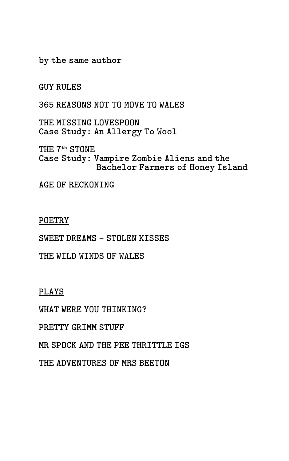by the same author

GUY RULES

365 REASONS NOT TO MOVE TO WALES

THE MISSING LOVESPOON Case Study: An Allergy To Wool

THE 7th STONE Case Study: Vampire Zombie Aliens and the Bachelor Farmers of Honey Island

AGE OF RECKONING

## POETRY

SWEET DREAMS - STOLEN KISSES

THE WILD WINDS OF WALES

## PLAYS

WHAT WERE YOU THINKING?

PRETTY GRIMM STUFF

MR SPOCK AND THE PEE THRITTLE IGS

THE ADVENTURES OF MRS BEETON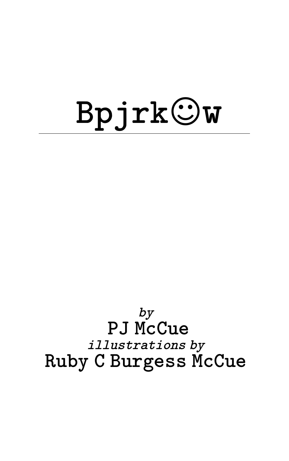

## by PJ McCue illustrations by Ruby C Burgess McCue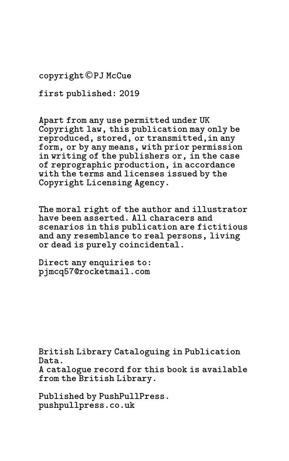copyright©PJ McCue

first published: 2019

Apart from any use permitted under UK Copyright law, this publication may only be reproduced, stored, or transmitted,in any form, or by any means, with prior permission in writing of the publishers or, in the case of reprographic production, in accordance with the terms and licenses issued by the Copyright Licensing Agency.

The moral right of the author and illustrator have been asserted. All characers and scenarios in this publication are fictitious and any resemblance to real persons, living or dead is purely coincidental.

Direct any enquiries to: pjmcq57@rocketmail.com

British Library Cataloguing in Publication Data.

A catalogue record for this book is available from the British Library.

Published by PushPullPress. pushpullpress.co.uk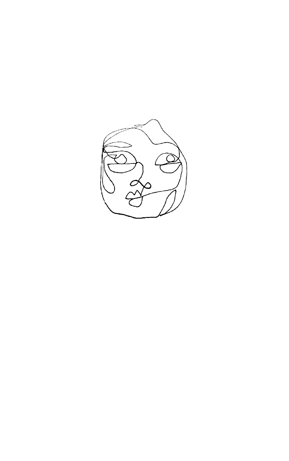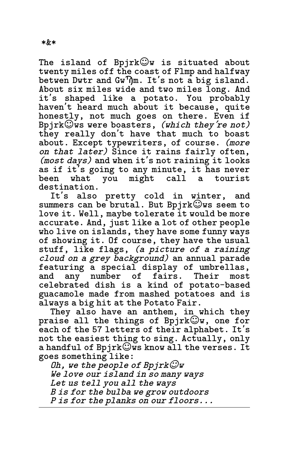The island of Bpjrk $\mathbb{C}$ w is situated about twenty miles off the coast of Flmp and halfway betwen Dwtr and  $\text{Gw}\mathcal{D}\text{m}$ . It's not a big island. About six miles wide and two miles long. And it's shaped like a potato. You probably haven't heard much about it because, quite honestly, not much goes on there. Even if Bpjrk $\odot$ ws were boasters, (which they're not) they really don't have that much to boast about. Except typewriters, of course. (more on that later) Since it rains fairly often,  $(most \; days)$  and when it's not raining it looks as if it's going to any minute, it has never been what you might call a tourist destination.

It's also pretty cold in winter, and summers can be brutal. But Bpjrk $\mathbb{C}$ ws seem to love it. Well, maybe tolerate it would be more accurate. And, just like a lot of other people who live on islands, they have some funny ways of showing it. Of course, they have the usual stuff, like flags, (a picture of a raining cloud on a grey background) an annual parade featuring a special display of umbrellas, and any number of fairs. Their most celebrated dish is a kind of potato-based guacamole made from mashed potatoes and is always a big hit at the Potato Fair.

They also have an anthem, in which they praise all the things of Bpjrk $\mathbb{C}_W$ , one for each of the 57 letters of their alphabet. It's not the easiest thing to sing. Actually, only a handful of Bpjrk $\mathbb {C}$ ws know all the verses. It goes something like:

Oh, we the people of Bpjrk $\mathbb{C}$ w We love our island in so many ways Let us tell you all the ways B is for the bulba we grow outdoors P is for the planks on our floors...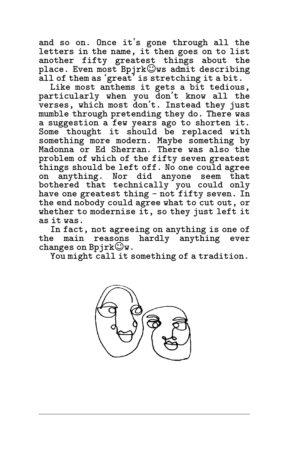and so on. Once it's gone through all the letters in the name, it then goes on to list another fifty greatest things about the place. Even most Bpjrk $\copyright$  ws admit describing all of them as 'great' is stretching it a bit.

Like most anthems it gets a bit tedious, particularly when you don't know all the verses, which most don't. Instead they just mumble through pretending they do. There was a suggestion a few years ago to shorten it. Some thought it should be replaced with something more modern. Maybe something by Madonna or Ed Sherran. There was also the problem of which of the fifty seven greatest things should be left off. No one could agree on anything. Nor did anyone seem that bothered that technically you could only have one greatest thing – not fifty seven. In the end nobody could agree what to cut out, or whether to modernise it, so they just left it as it was.

In fact, not agreeing on anything is one of the main reasons hardly anything ever changes on  $Bpi$ rk $\odot$ w.

You might call it something of a tradition.

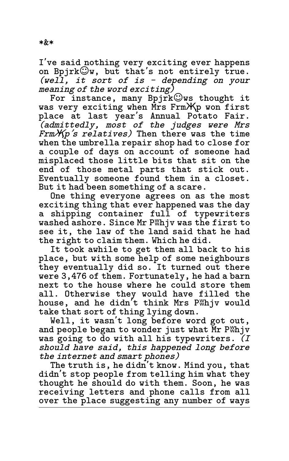I've said nothing very exciting ever happens on Bpjrk $\mathbb{G}_W$ , but that's not entirely true. (well, it sort of is - depending on your meaning of the word exciting)

For instance, many Bpjrk $\mathbb{C}$ ws thought it was very exciting when Mrs Frm Xp won first place at last year's Annual Potato Fair. (admittedly, most of the judges were Mrs  $Frm$  $\mathcal{H}p$ *'s relatives*) Then there was the time when the umbrella repair shop had to close for a couple of days on account of someone had misplaced those little bits that sit on the end of those metal parts that stick out. Eventually someone found them in a closet. But it had been something of a scare.

One thing everyone agrees on as the most exciting thing that ever happened was the day a shipping container full of typewriters washed ashore. Since Mr PWhjv was the first to see it, the law of the land said that he had the right to claim them. Which he did.

It took awhile to get them all back to his place, but with some help of some neighbours they eventually did so. It turned out there were 3,476 of them. Fortunately, he had a barn next to the house where he could store them all. Otherwise they would have filled the house, and he didn't think Mrs PWhjv would take that sort of thing lying down.

Well, it wasn't long before word got out, and people began to wonder just what  $Mr P\mathbb{W}$ hjv was going to do with all his typewriters.  $(I)$ should have said, this happened long before the internet and smart phones)

The truth is, he didn't know. Mind you, that didn't stop people from telling him what they thought he should do with them. Soon, he was receiving letters and phone calls from all over the place suggesting any number of ways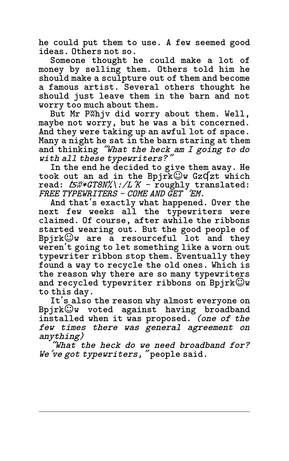he could put them to use. A few seemed good ideas. Others not so.

Someone thought he could make a lot of money by selling them. Others told him he should make a sculpture out of them and become a famous artist. Several others thought he should just leave them in the barn and not worry too much about them.

But Mr PWhjv did worry about them. Well, maybe not worry, but he was a bit concerned. And they were taking up an awful lot of space. Many a night he sat in the barn staring at them and thinking "What the heck am  $I$  going to do with all these typewriters?"

In the end he decided to give them away. He took out an ad in the Bpjrk $\mathbb{G}_w$  GzQzt which read:  $\frac{SW*GTSN}{\setminus \cdot}/L\,\acute{K}$  - roughly translated: FREE TYPEWRITERS - COME AND GET 'EM.

And that's exactly what happened. Over the next few weeks all the typewriters were claimed. Of course, after awhile the ribbons started wearing out. But the good people of  $Bpirk\mathbb{C}$ w are a resourceful lot and they weren't going to let something like a worn out typewriter ribbon stop them. Eventually they found a way to recycle the old ones. Which is the reason why there are so many typewriters and recycled typewriter ribbons on Bpjrk $\mathbb{G}_w$ to this day.

It's also the reason why almost everyone on  $\mathtt{Bpjrk}\mathbb{G}$ w voted against having broadband installed when it was proposed. (one of the few times there was general agreement on anything)

"What the heck do we need broadband for? We ve got typewriters, " people said.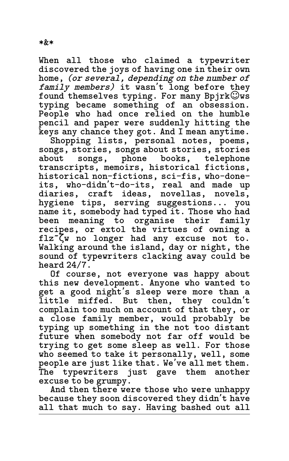When all those who claimed a typewriter discovered the joys of having one in their own home, (or several, depending on the number of family members) it wasn't long before they found themselves typing. For many Bpjrk $\mathbb{C}$ ws typing became something of an obsession. People who had once relied on the humble pencil and paper were suddenly hitting the keys any chance they got. And I mean anytime.

Shopping lists, personal notes, poems, songs, stories, songs about stories, stories<br>about songs, phone books, telephone books, telephone transcripts, memoirs, historical fictions, historical non-fictions, sci-fis, who-doneits, who-didn't-do-its, real and made up diaries, craft ideas, novellas, novels, hygiene tips, serving suggestions... you name it, somebody had typed it. Those who had been meaning to organise their family recipes, or extol the virtues of owning a  $f$ lz $\tilde{\zeta}$ w no longer had any excuse not to. Walking around the island, day or night, the sound of typewriters clacking away could be heard 24/7.

Of course, not everyone was happy about this new development. Anyone who wanted to get a good night's sleep were more than a little miffed. But then, they couldn't complain too much on account of that they, or a close family member, would probably be typing up something in the not too distant future when somebody not far off would be trying to get some sleep as well. For those who seemed to take it personally, well, some people are just like that. We've all met them. The typewriters just gave them another excuse to be grumpy.

And then there were those who were unhappy because they soon discovered they didn't have all that much to say. Having bashed out all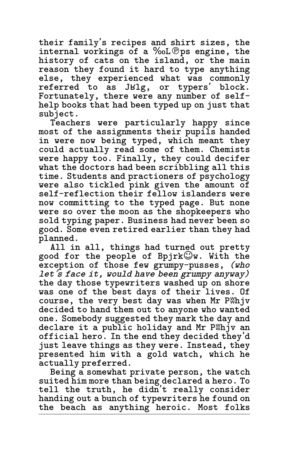their family's recipes and shirt sizes, the internal workings of a ‰L Dps engine, the history of cats on the island, or the main reason they found it hard to type anything else, they experienced what was commonly referred to as JBlg, or typers' block. Fortunately, there were any number of selfhelp books that had been typed up on just that subject.

Teachers were particularly happy since most of the assignments their pupils handed in were now being typed, which meant they could actually read some of them. Chemists were happy too. Finally, they could decifer what the doctors had been scribbling all this time. Students and practioners of psychology were also tickled pink given the amount of self-reflection their fellow islanders were now committing to the typed page. But none were so over the moon as the shopkeepers who sold typing paper. Business had never been so good. Some even retired earlier than they had planned.

All in all, things had turned out pretty good for the people of Bpjrk $\mathbb{O}$ w. With the exception of those few grumpy-pusses, (who let's face it, would have been grumpy anyway) the day those typewriters washed up on shore was one of the best days of their lives. Of course, the very best day was when  $Mr$  P $Whjv$ decided to hand them out to anyone who wanted one. Somebody suggested they mark the day and declare it a public holiday and Mr PWhjv an official hero. In the end they decided they d' just leave things as they were. Instead, they presented him with a gold watch, which he actually preferred.

Being a somewhat private person, the watch suited him more than being declared a hero. To tell the truth, he didn't really consider handing out a bunch of typewriters he found on the beach as anything heroic. Most folks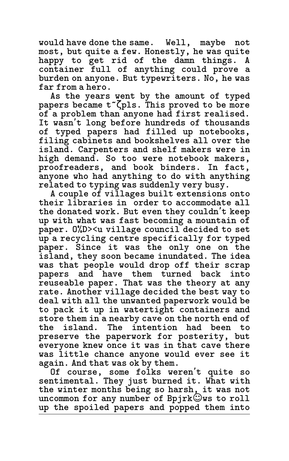would have done the same. Well, maybe not most, but quite a few. Honestly, he was quite happy to get rid of the damn things. A container full of anything could prove a burden on anyone. But typewriters. No, he was far from a hero.

As the years went by the amount of typed papers became t<sup>~</sup> (pls. This proved to be more of a problem than anyone had first realised. It wasn't long before hundreds of thousands of typed papers had filled up notebooks, filing cabinets and bookshelves all over the island. Carpenters and shelf makers were in high demand. So too were notebook makers, proofreaders, and book binders. In fact, anyone who had anything to do with anything related to typing was suddenly very busy.

A couple of villages built extensions onto their libraries in order to accommodate all the donated work. But even they couldn't keep up with what was fast becoming a mountain of paper. O%D><u village council decided to set up a recycling centre specifically for typed paper. Since it was the only one on the island, they soon became inundated. The idea was that people would drop off their scrap papers and have them turned back into reuseable paper. That was the theory at any rate. Another village decided the best way to deal with all the unwanted paperwork would be to pack it up in watertight containers and store them in a nearby cave on the north end of the island. The intention had been to preserve the paperwork for posterity, but everyone knew once it was in that cave there was little chance anyone would ever see it again. And that was ok by them.

Of course, some folks weren't quite so sentimental. They just burned it. What with the winter months being so harsh, it was not uncommon for any number of Bpjrk $\copyright$  ws to roll up the spoiled papers and popped them into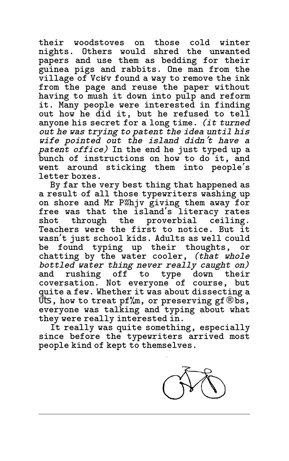their woodstoves on those cold winter nights. Others would shred the unwanted papers and use them as bedding for their guinea pigs and rabbits. One man from the village of VcBv found a way to remove the ink from the page and reuse the paper without having to mush it down into pulp and reform it. Many people were interested in finding out how he did it, but he refused to tell anyone his secret for a long time. (it turned out he was trying to patent the idea until his wife pointed out the island didn't have a patent office) In the end he just typed up a bunch of instructions on how to do it, and went around sticking them into people's letter boxes.

By far the very best thing that happened as a result of all those typewriters washing up on shore and Mr PWhjv giving them away for free was that the island's literacy rates shot through the proverbial ceiling. Teachers were the first to notice. But it wasn't just school kids. Adults as well could be found typing up their thoughts, or chatting by the water cooler, (that whole bottled water thing never really caught on) and rushing off to type down their coversation. Not everyone of course, but quite a few. Whether it was about dissecting a US, how to treat pf%m, or preserving gf  $\mathcal{B}$ bs, everyone was talking and typing about what they were really interested in.

It really was quite something, especially since before the typewriters arrived most people kind of kept to themselves.

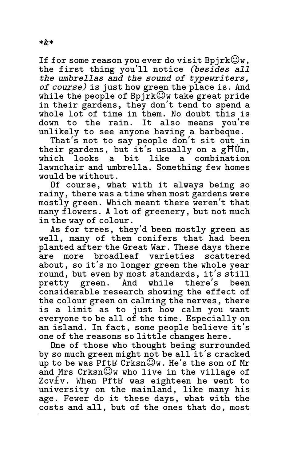If for some reason you ever do visit Bpjrk $\mathbb{C}$ w, the first thing you'll notice (besides all the umbrellas and the sound of typewriters, of course) is just how green the place is. And while the people of Bpjrk $\mathbb{C}$ w take great pride in their gardens, they don't tend to spend a whole lot of time in them. No doubt this is down to the rain. It also means you're unlikely to see anyone having a barbeque.

That's not to say people don't sit out in their gardens, but it's usually on a gHUm, which looks a bit like a combination lawnchair and umbrella. Something few homes would be without.

Of course, what with it always being so rainy, there was a time when most gardens were mostly green. Which meant there weren't that many flowers. A lot of greenery, but not much in the way of colour.

As for trees, they'd been mostly green as well, many of them conifers that had been planted after the Great War. These days there are more broadleaf varieties scattered about, so it's no longer green the whole year round, but even by most standards, it's still pretty green. And while there's been considerable research showing the effect of the colour green on calming the nerves, there is a limit as to just how calm you want everyone to be all of the time. Especially on an island. In fact, some people believe it's one of the reasons so little changes here.

One of those who thought being surrounded by so much green might not be all it's cracked up to be was PftB  $Crksn\mathbb{C}$ w. He's the son of Mr and Mrs Crksn $\mathbb {O}$ w who live in the village of  $ZcvFv.$  When PftB was eighteen he went to university on the mainland, like many his age. Fewer do it these days, what with the costs and all, but of the ones that do, most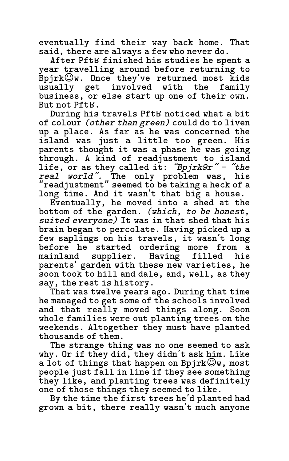eventually find their way back home. That said, there are always a few who never do.

After PftB finished his studies he spent a year travelling around before returning to  $\texttt{Bpjrk}\mathbb{G}\texttt{w}$ . Once they've returned most kids usually get involved with the family business, or else start up one of their own. But not PftB.

During his travels PftK noticed what a bit of colour (other than green) could do to liven up a place. As far as he was concerned the island was just a little too green. His parents thought it was a phase he was going through. A kind of readjustment to island life, or as they called it: "B $pjrk9r$ " - "the real world". The only problem was, his " readjustment" seemed to be taking a heck of a long time. And it wasn't that big a house.

Eventually, he moved into a shed at the bottom of the garden. (which, to be honest, suited everyone) It was in that shed that his brain began to percolate. Having picked up a few saplings on his travels, it wasn't long before he started ordering more from a mainland supplier. Having filled his parents' garden with these new varieties, he soon took to hill and dale, and, well, as they say, the rest is history.

That was twelve years ago. During that time he managed to get some of the schools involved and that really moved things along. Soon whole families were out planting trees on the weekends. Altogether they must have planted thousands of them.

The strange thing was no one seemed to ask why. Or if they did, they didn't ask him. Like a lot of things that happen on Bpjrk $\mathbb{C}$ w, most people just fall in line if they see something they like, and planting trees was definitely one of those things they seemed to like.

By the time the first trees he'd planted had grown a bit, there really wasn't much anyone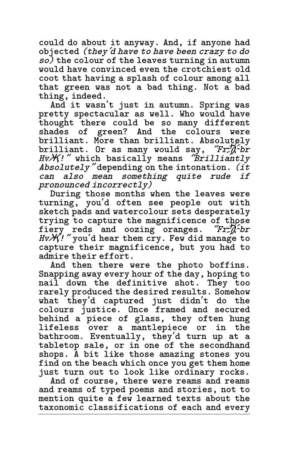could do about it anyway. And, if anyone had objected (they'd have to have been crazy to do so) the colour of the leaves turning in autumn would have convinced even the crotchiest old coot that having a splash of colour among all that green was not a bad thing. Not a bad thing, indeed.

And it wasn't just in autumn. Spring was pretty spectacular as well. Who would have thought there could be so many different shades of green? And the colours were brilliant. More than brilliant. Absolutely brilliant. Or as many would say,  $\sqrt[r]{r}$   $\sqrt[r]{r}$  $Hv$ / $\mathcal{H}$ !" which basically means "Brilliantly Absolutely" depending on the intonation. (it can also mean something quite rude if pronounced incorrectly)

During those months when the leaves were turning, you'd often see people out with sketch pads and watercolour sets desperately trying to capture the magnificence of those  $f_i$ ery reds and oozing oranges. " $Fr\gamma$ -br"  $\mathit{Hv}\mathscr{H}$ ! "you'd hear them cry. Few did manage to capture their magnificence, but you had to admire their effort.

And then there were the photo boffins. Snapping away every hour of the day, hoping to nail down the definitive shot. They too rarely produced the desired results. Somehow what they'd captured just didn't do the colours justice. Once framed and secured behind a piece of glass, they often hung lifeless over a mantlepiece or in the bathroom. Eventually, they'd turn up at a tabletop sale, or in one of the secondhand shops. A bit like those amazing stones you find on the beach which once you get them home just turn out to look like ordinary rocks.

And of course, there were reams and reams and reams of typed poems and stories, not to mention quite a few learned texts about the taxonomic classifications of each and every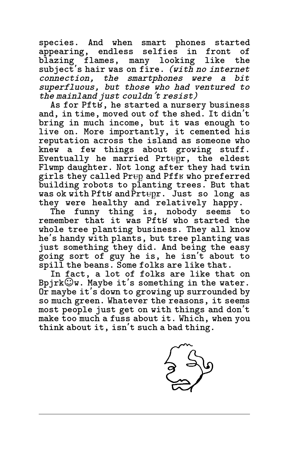species. And when smart phones started appearing, endless selfies in front of blazing flames, many looking like the subject's hair was on fire. (with no internet connection, the smartphones were <sup>a</sup> bit superfluous, but those who had ventured to  $the$  mainland just couldn't resist)

As for PftB, he started a nursery business and, in time, moved out of the shed. It didn't bring in much income, but it was enough to live on. More importantly, it cemented his reputation across the island as someone who knew a few things about growing stuff. Eventually he married Prt $_{\rm \oplus r}$ , the eldest Flwmp daughter. Not long after they had twin girls they called Prtp and Pffk who preferred building robots to planting trees. But that was ok with PftB and  $P$ rt $\forall$ pr. Just so long as they were healthy and relatively happy.

The funny thing is, nobody seems to remember that it was PftB who started the whole tree planting business. They all know he's handy with plants, but tree planting was just something they did. And being the easy going sort of guy he is, he isn't about to spill the beans. Some folks are like that.

In fact, a lot of folks are like that on Bpjrk $\mathbb{G}_W$ . Maybe it's something in the water. Or maybe it's down to growing up surrounded by so much green. Whatever the reasons, it seems most people just get on with things and don't make too much a fuss about it. Which, when you think about it, isn't such a bad thing.

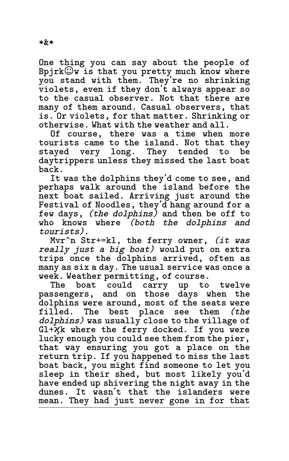One thing you can say about the people of  $Bpi$ rk $\mathbb{C}$ w is that you pretty much know where you stand with them. They're no shrinking violets, even if they don't always appear so to the casual observer. Not that there are many of them around. Casual observers, that is. Or violets, for that matter. Shrinking or otherwise. What with the weather and all.

Of course, there was a time when more tourists came to the island. Not that they stayed very long. They tended to be daytrippers unless they missed the last boat back.

It was the dolphins they'd come to see, and perhaps walk around the island before the next boat sailed. Arriving just around the Festival of Noodles, they'd hang around for a few days, *(the dolphins)* and then be off to who knows where (both the dolphins and tourists).

Mvr^n Str+=kl, the ferry owner, *(it was* really just a big boat) would put on extra trips once the dolphins arrived, often as many as six a day. The usual service was once a week. Weather permitting, of course.<br>The boat could carry up to

boat could carry up to twelve passengers, and on those days when the dolphins were around, most of the seats were<br>filled. The best place see them (the filled. The best place see them dolphins) was usually close to the village of  $GL+Xk$  where the ferry docked. If you were lucky enough you could see them from the pier, that way ensuring you got a place on the return trip. If you happened to miss the last boat back, you might find someone to let you sleep in their shed, but most likely you'd have ended up shivering the night away in the dunes. It wasn't that the islanders were mean. They had just never gone in for that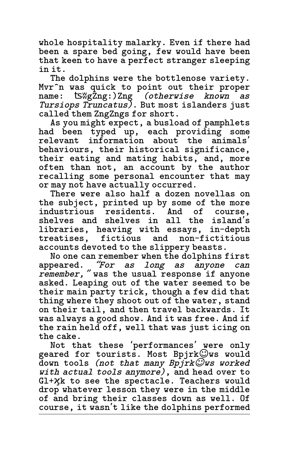whole hospitality malarky. Even if there had been a spare bed going, few would have been that keen to have a perfect stranger sleeping in it.

The dolphins were the bottlenose variety. Mvr^n was quick to point out their proper name: tS\gZng:)Zng (*otherwise known as* Tursiops Truncatus). But most islanders just called them ZngZngs for short.

As you might expect, a busload of pamphlets had been typed up, each providing some relevant information about the animals' behaviours, their historical significance, their eating and mating habits, and, more often than not, an account by the author recalling some personal encounter that may or may not have actually occurred.

There were also half a dozen novellas on the subject, printed up by some of the more industrious residents. And of course, shelves and shelves in all the island's libraries, heaving with essays, in-depth treatises, fictious and non-fictitious accounts devoted to the slippery beasts.

No one can remember when the dolphins first appeared. *"For as long as anyone can* remember, "was the usual response if anyone asked. Leaping out of the water seemed to be their main party trick, though a few did that thing where they shoot out of the water, stand on their tail, and then travel backwards. It was always a good show. And it was free. And if the rain held off, well that was just icing on the cake.

Not that these 'performances' were only geared for tourists. Most Bpjrk $\overset{\sim}{\bigcirc}$ us would down tools (not that many Bpjrk $\mathcal{\mathcal{Q}}$ ws worked with actual tools anymore), and head over to  $GL+Xk$  to see the spectacle. Teachers would drop whatever lesson they were in the middle of and bring their classes down as well. Of course, it wasn't like the dolphins performed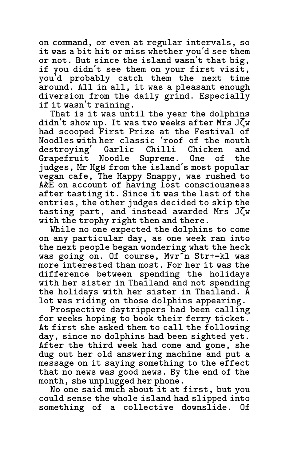on command, or even at regular intervals, so it was a bit hit or miss whether you'd see them or not. But since the island wasn't that big, if you didn't see them on your first visit, you'd probably catch them the next time around. All in all, it was a pleasant enough diversion from the daily grind. Especially if it wasn't raining.

That is it was until the year the dolphins didn't show up. It was two weeks after Mrs J $\zeta$ w had scooped First Prize at the Festival of Noodles with her classic 'roof of the mouth destroying' Garlic Chilli Chicken and Grapefruit Noodle Supreme. One of the judges, Mr HgB from the island's most popular vegan cafe, The Happy Snappy, was rushed to A&E on account of having lost consciousness after tasting it. Since it was the last of the entries, the other judges decided to skip the tasting part, and instead awarded Mrs  $J\zeta w$ with the trophy right then and there.

While no one expected the dolphins to come on any particular day, as one week ran into the next people began wondering what the heck was going on. Of course, Mvr<sup>n</sup> Str+=kl was more interested than most. For her it was the difference between spending the holidays with her sister in Thailand and not spending the holidays with her sister in Thailand. A lot was riding on those dolphins appearing.

Prospective daytrippers had been calling for weeks hoping to book their ferry ticket. At first she asked them to call the following day, since no dolphins had been sighted yet. After the third week had come and gone, she dug out her old answering machine and put a message on it saying something to the effect that no news was good news. By the end of the month, she unplugged her phone.

No one said much about it at first, but you could sense the whole island had slipped into something of a collective downslide. Of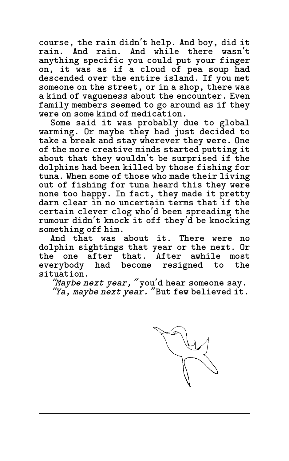course, the rain didn't help. And boy, did it rain. And rain. And while there wasn't anything specific you could put your finger on, it was as if a cloud of pea soup had descended over the entire island. If you met someone on the street, or in a shop, there was a kind of vagueness about the encounter. Even family members seemed to go around as if they were on some kind of medication.

Some said it was probably due to global warming. Or maybe they had just decided to take a break and stay wherever they were. One of the more creative minds started putting it about that they wouldn't be surprised if the dolphins had been killed by those fishing for tuna. When some of those who made their living out of fishing for tuna heard this they were none too happy. In fact, they made it pretty darn clear in no uncertain terms that if the certain clever clog who'd been spreading the rumour didn't knock it off they'd be knocking something off him.

And that was about it. There were no dolphin sightings that year or the next. Or the one after that. After awhile most everybody had become resigned to the situation.

 $\H{M}$ aybe next year,  $''$ you $'$ d hear someone say.  $\H$ a, maybe next year.  $\H$  But few believed it.

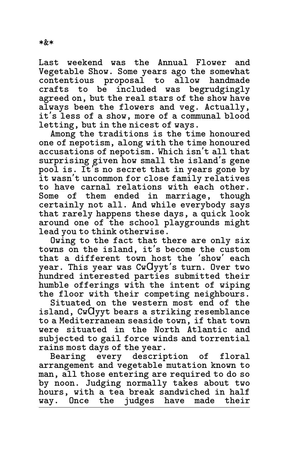Last weekend was the Annual Flower and Vegetable Show. Some years ago the somewhat contentious proposal to allow handmade crafts to be included was begrudgingly agreed on, but the real stars of the show have always been the flowers and veg. Actually, it's less of a show, more of a communal blood letting, but in the nicest of ways.

Among the traditions is the time honoured one of nepotism, along with the time honoured accusations of nepotism. Which isn't all that surprising given how small the island's gene pool is. It's no secret that in years gone by it wasn't uncommon for close family relatives to have carnal relations with each other. Some of them ended in marriage, though certainly not all. And while everybody says that rarely happens these days, a quick look around one of the school playgrounds might lead you to think otherwise.

Owing to the fact that there are only six towns on the island, it's become the custom that a different town host the 'show' each year. This year was Cw Clyyt's turn. Over two hundred interested parties submitted their humble offerings with the intent of wiping the floor with their competing neighbours.

Situated on the western most end of the island, Cw Clyyt bears a striking resemblance to a Mediterranean seaside town, if that town were situated in the North Atlantic and subjected to gail force winds and torrential rains most days of the year.

Bearing every description of floral arrangement and vegetable mutation known to man, all those entering are required to do so by noon. Judging normally takes about two hours, with a tea break sandwiched in half way. Once the judges have made their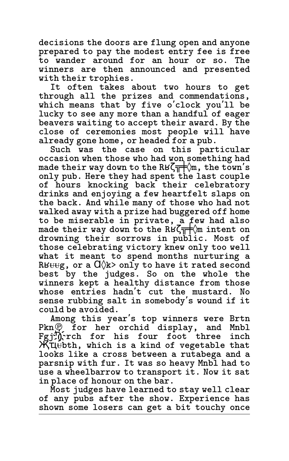decisions the doors are flung open and anyone prepared to pay the modest entry fee is free to wander around for an hour or so. The winners are then announced and presented with their trophies.

It often takes about two hours to get through all the prizes and commendations, which means that by five o'clock you'll be lucky to see any more than a handful of eager beavers waiting to accept their award. By the close of ceremonies most people will have already gone home, or headed for a pub.

Such was the case on this particular occasion when those who had won something had made their way down to the RB $\zeta_{\overline{1}}$   $\downarrow$  m, the town's only pub. Here they had spent the last couple of hours knocking back their celebratory drinks and enjoying a few heartfelt slaps on the back. And while many of those who had not walked away with a prize had buggered off home to be miserable in private, a few had also made their way down to the RE $\zeta$ <sub>TT</sub> $\gg$  intent on drowning their sorrows in public. Most of those celebrating victory knew only too well what it meant to spend months nurturing a RBUTE REFIRE ONLY TO have it rated second best by the judges. So on the whole the winners kept a healthy distance from those whose entries hadn't cut the mustard. No sense rubbing salt in somebody's wound if it could be avoided.

Among this year's top winners were Brtn  $PknQ$  for her orchid display, and Mnbl Fgj) rch for his four foot three inch  $\mathcal{H}$ ц́⊕bth, which is a kind of vegetable that looks like a cross between a rutabega and a parsnip with fur. It was so heavy Mnbl had to use a wheelbarrow to transport it. Now it sat in place of honour on the bar.

Most judges have learned to stay well clear of any pubs after the show. Experience has shown some losers can get a bit touchy once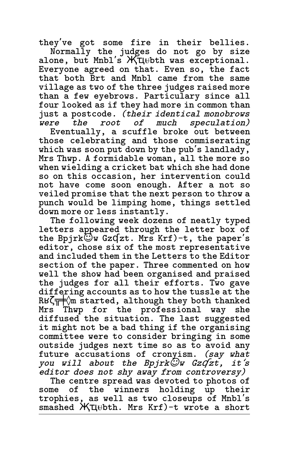they've got some fire in their bellies.

Normally the judges do not go by size alone, but Mnbl's  $\mathcal{H}$  u+bth was exceptional. Everyone agreed on that. Even so, the fact that both Brt and Mnbl came from the same village as two of the three judges raised more than a few eyebrows. Particulary since all four looked as if they had more in common than just a postcode. (their identical monobrows were the root of much speculation)

Eventually, a scuffle broke out between those celebrating and those commiserating which was soon put down by the pub's landlady, Mrs Thwp. A formidable woman, all the more so when wielding a cricket bat which she had done so on this occasion, her intervention could not have come soon enough. After a not so veiled promise that the next person to throw a punch would be limping home, things settled down more or less instantly.

The following week dozens of neatly typed letters appeared through the letter box of the Bpjrk $\mathbb{C}$ w Gz $\sqrt{z}$ t. Mrs Krf)-t, the paper's editor, chose six of the most representative and included them in the Letters to the Editor section of the paper. Three commented on how well the show had been organised and praised the judges for all their efforts. Two gave differing accounts as to how the tussle at the  $R B \subset \mathbb{R}$  started, although they both thanked Mrs Thwp for the professional way she diffused the situation. The last suggested it might not be a bad thing if the organising committee were to consider bringing in some outside judges next time so as to avoid any future accusations of cronyism. (say what you will about the Bpjrk $\mathbb{\mathbb{C}}$ w Gz $\mathbb{\mathbb{C}}$ zt, it's editor does not shy away from controversy)

The centre spread was devoted to photos of some of the winners holding up their trophies, as well as two closeups of Mnbl's smashed  $\mathcal{H}$ lebth. Mrs Krf)-t wrote a short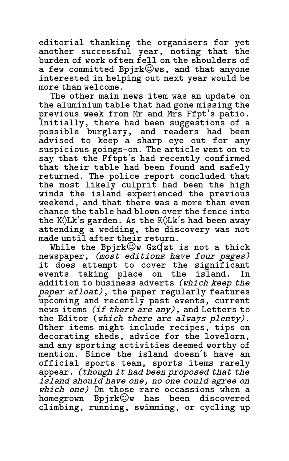editorial thanking the organisers for yet another successful year, noting that the burden of work often fell on the shoulders of a few committed Bpjrk $\mathbb{C}$ ws, and that anyone interested in helping out next year would be more than welcome.

The other main news item was an update on the aluminium table that had gone missing the previous week from Mr and Mrs Ffpt's patio. Initially, there had been suggestions of a possible burglary, and readers had been advised to keep a sharp eye out for any suspicious goings-on. The article went on to say that the Fftpt's had recently confirmed that their table had been found and safely returned. The police report concluded that the most likely culprit had been the high winds the island experienced the previous weekend, and that there was a more than even chance the table had blown over the fence into the K $\Delta$ Lk's garden. As the K $\Delta$ Lk's had been away attending a wedding, the discovery was not made until after their return.

While the Bpjrk $\mathbb{G}_W$  Gz $\zeta$ zt is not a thick newspaper, (most editions have four pages) it does attempt to cover the significant events taking place on the island. In addition to business adverts (which keep the paper afloat), the paper regularly features upcoming and recently past events, current news items *(if there are any)*, and Letters to the Editor (which there are always plenty). Other items might include recipes, tips on decorating sheds, advice for the lovelorn, and any sporting activities deemed worthy of mention. Since the island doesn't have an official sports team, sports items rarely appear. (though it had been proposed that the island should have one, no one could agree on which one) On those rare occassions when a homegrown  $Bpi$ rk $\mathbb{G}$ w has been discovered climbing, running, swimming, or cycling up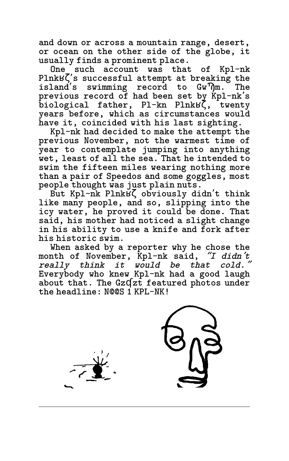and down or across a mountain range, desert, or ocean on the other side of the globe, it usually finds a prominent place.

One such account was that of Kpl-nk  $\text{Plnkb}\bar{\zeta}'$ s successful attempt at breaking the island's swimming record to Gw7m. The previous record of had been set by Kpl-nk's biological father, Pl-kn Plnk Βζ, twenty years before, which as circumstances would have it, coincided with his last sighting.

Kpl-nk had decided to make the attempt the previous November, not the warmest time of year to contemplate jumping into anything wet, least of all the sea. That he intended to swim the fifteen miles wearing nothing more than a pair of Speedos and some goggles, most people thought was just plain nuts.

But Kpl-nk PlnkB obviously didn't think like many people, and so, slipping into the icy water, he proved it could be done. That said, his mother had noticed a slight change in his ability to use a knife and fork after his historic swim.

When asked by a reporter why he chose the month of November, Kpl-nk said, "I didn't really think it would be that cold." Everybody who knew Kpl-nk had a good laugh about that. The GzGzt featured photos under the headline: N@@S 1 KPL-NK!

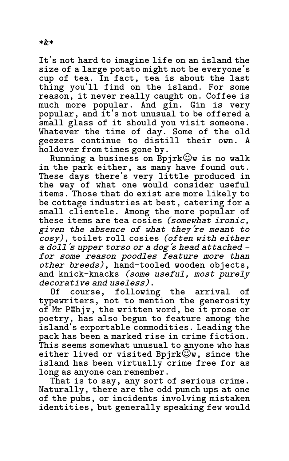It's not hard to imagine life on an island the size of a large potato might not be everyone's cup of tea. In fact, tea is about the last thing you'll find on the island. For some reason, it never really caught on. Coffee is much more popular. And gin. Gin is very popular, and it's not unusual to be offered a small glass of it should you visit someone. Whatever the time of day. Some of the old geezers continue to distill their own. A holdover from times gone by.

Running a business on Bpjrk $\mathbb{C}$ w is no walk in the park either, as many have found out. These days there's very little produced in the way of what one would consider useful items. Those that do exist are more likely to be cottage industries at best, catering for a small clientele. Among the more popular of these items are tea cosies (somewhat ironic, given the absence of what they're meant to cosy), toilet roll cosies (often with either a doll's upper torso or a dog's head attached for some reason poodles feature more than other breeds), hand-tooled wooden objects, and knick-knacks (some useful, most purely decorative and useless).

Of course, following the arrival of typewriters, not to mention the generosity of Mr P\\hjv, the written word, be it prose or poetry, has also begun to feature among the island's exportable commodities. Leading the pack has been a marked rise in crime fiction. This seems somewhat unusual to anyone who has either lived or visited Bpjrk $\mathbb{G}_{w}$ , since the island has been virtually crime free for as long as anyone can remember.

That is to say, any sort of serious crime. Naturally, there are the odd punch ups at one of the pubs, or incidents involving mistaken identities, but generally speaking few would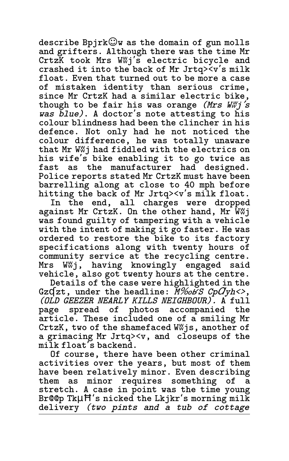describe Bpjrk $\mathbb{G}_W$  as the domain of gun molls and grifters. Although there was the time Mr Crtz $\breve{K}$  took Mrs W $\breve{W}$ j's electric bicycle and crashed it into the back of Mr Jrtq> $\langle v' \rangle$ s milk float. Even that turned out to be more a case of mistaken identity than serious crime, since Mr CrtzK had a similar electric bike, though to be fair his was orange (Mrs  $WWj$ 's was blue). A doctor's note attesting to his colour blindness had been the clincher in his defence. Not only had he not noticed the colour difference, he was totally unaware that Mr W<sub>W</sub> j had fiddled with the electrics on his wife's bike enabling it to go twice as fast as the manufacturer had designed. Police reports stated Mr CrtzK must have been barrelling along at close to 40 mph before hitting the back of Mr Jrtq><v's milk float.

In the end, all charges were dropped against Mr CrtzK. On the other hand, Mr  $\bar{W}$ was found guilty of tampering with a vehicle with the intent of making it go faster. He was ordered to restore the bike to its factory specifications along with twenty hours of community service at the recycling centre.  $\texttt{Mrs}\,$   $\texttt{WWjj}$ , having knowingly engaged said vehicle, also got twenty hours at the centre.

Details of the case were highlighted in the Gz (zt, under the headline:  $\textit{M}\%o\textit{BS}$  Cp $\textit{Cyh}\ll\textit{S}$ , (OLD GEEZER NEARLY KILLS NEIGHBOUR). A full page spread of photos accompanied the article. These included one of a smiling Mr CrtzK, two of the shamefaced  $WW$  is, another of a grimacing Mr Jrtq><v, and closeups of the  $m$ ilk float's backend.

Of course, there have been other criminal activities over the years, but most of them have been relatively minor. Even describing them as minor requires something of a stretch. A case in point was the time young Br@Op Tk $\mu$ H's nicked the Lkjkr's morning milk delivery (two pints and a tub of cottage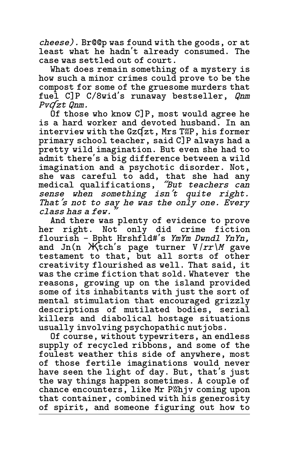cheese). Br@@p was found with the goods, or at least what he hadn't already consumed. The case was settled out of court.

What does remain something of a mystery is how such a minor crimes could prove to be the compost for some of the gruesome murders that fuel C]P C/8wid's runaway bestseller, Qnm  $PvQzt Qnm$ .

Of those who know C]P, most would agree he is a hard worker and devoted husband. In an interview with the  $GzGzt$ , Mrs TWP, his former primary school teacher, said C]P always had a pretty wild imagination. But even she had to admit there's a big difference between a wild imagination and a psychotic disorder. Not, she was careful to add, that she had any medical qualifications, *"But teachers can* sense when something isn't quite right. That's not to say he was the only one. Every class has a few. "

And there was plenty of evidence to prove her right. Not only did crime fiction flourish - Bpht Hrshfld#'s *YmYm Dwndl YnYn,* and Jn(n  $\forall$ tch's page turner V /rr\M gave testament to that, but all sorts of other creativity flourished as well. That said, it was the crime fiction that sold. Whatever the reasons, growing up on the island provided some of its inhabitants with just the sort of mental stimulation that encouraged grizzly descriptions of mutilated bodies, serial killers and diabolical hostage situations usually involving psychopathic nutjobs.

Of course, without typewriters, an endless supply of recycled ribbons, and some of the foulest weather this side of anywhere, most of those fertile imaginations would never have seen the light of day. But, that's just the way things happen sometimes. A couple of chance encounters, like Mr PWhjv coming upon that container, combined with his generosity of spirit, and someone figuring out how to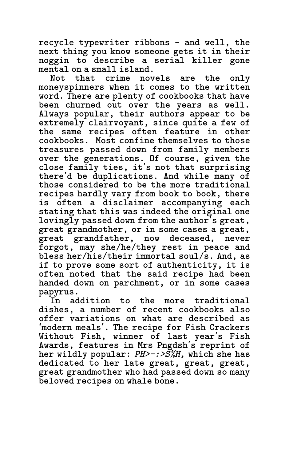recycle typewriter ribbons - and well, the next thing you know someone gets it in their noggin to describe a serial killer gone mental on a small island.

Not that crime novels are the only moneyspinners when it comes to the written word. There are plenty of cookbooks that have been churned out over the years as well. Always popular, their authors appear to be extremely clairvoyant, since quite a few of the same recipes often feature in other cookbooks. Most confine themselves to those treasures passed down from family members over the generations. Of course, given the close family ties, it's not that surprising there'd be duplications. And while many of those considered to be the more traditional recipes hardly vary from book to book, there is often a disclaimer accompanying each stating that this was indeed the original one lovingly passed down from the author's great, great grandmother, or in some cases a great, great grandfather, now deceased, never forgot, may she/he/they rest in peace and bless her/his/their immortal soul/s. And, as if to prove some sort of authenticity, it is often noted that the said recipe had been handed down on parchment, or in some cases papyrus.

In addition to the more traditional dishes, a number of recent cookbooks also offer variations on what are described as 'modern meals'. The recipe for Fish Crackers Without Fish, winner of last year's Fish Awards, features in Mrs Pngdsh's reprint of her wildly popular: PH>-:>S\/H, which she has dedicated to her late great, great, great, great grandmother who had passed down so many beloved recipes on whale bone.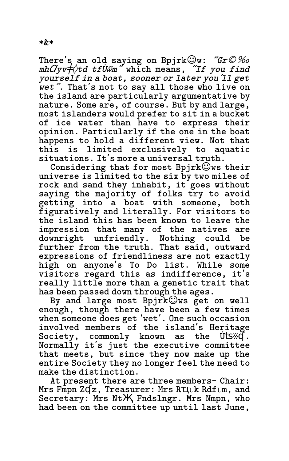There's an old saying on Bpjrk $\mathbb{C}$ w: " $Gr\mathcal{O}\%$ o mh $O$ yv $\neq$  $\forall$ td tf $\mathring{U}$   $\mathscr{W}$ m" which means, "If you find yourself in a boat, sooner or later you 'll get wet". That's not to say all those who live on the island are particularly argumentative by nature. Some are, of course. But by and large, most islanders would prefer to sit in a bucket of ice water than have to express their opinion. Particularly if the one in the boat happens to hold a different view. Not that this is limited exclusively to aquatic situations. It's more a universal truth.

Considering that for most Bpjrk $\mathbb{C}$ ws their universe is limited to the six by two miles of rock and sand they inhabit, it goes without saying the majority of folks try to avoid getting into a boat with someone, both figuratively and literally. For visitors to the island this has been known to leave the impression that many of the natives are downright unfriendly. Nothing could be further from the truth. That said, outward expressions of friendliness are not exactly high on anyone's To Do list. While some visitors regard this as indifference, it's really little more than a genetic trait that has been passed down through the ages.

By and large most Bpjrk $\mathbb{C}$ ws get on well enough, though there have been a few times when someone does get 'wet'. One such occasion involved members of the island's Heritage Society, commonly known as the  $\check{U}$ ts\ldggggallonggallonggallonggallonggallonggallonggallonggallonggallonggallonggallonggallonggallonggallonggallonggallonggallonggallonggallonggallonggallonggallonggallonggallonggallong Normally it's just the executive committee that meets, but since they now make up the entire Society they no longer feel the need to make the distinction.

At present there are three members- Chair: Mrs Fmpn ZQz, Treasurer: Mrs RҴ $\rm H$ k Rdf $\rm t$ m, and Secretary: Mrs Nt WK Fndslngr. Mrs Nmpn, who had been on the committee up until last June,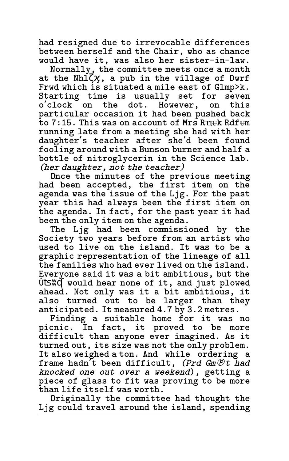had resigned due to irrevocable differences between herself and the Chair, who as chance would have it, was also her sister-in-law.

Normally, the committee meets once a month at the Nhl $\zeta$ , a pub in the village of Dwrf Frwd which is situated a mile east of Glmp>k. Starting time is usually set for seven o'clock on the dot. However, on this particular occasion it had been pushed back to  $7:15$ . This was on account of Mrs RTHK Rdf Hm running late from a meeting she had with her daughter's teacher after she'd been found fooling around with a Bunson burner and half a bottle of nitroglycerin in the Science lab. (her daughter, not the teacher)

Once the minutes of the previous meeting had been accepted, the first item on the agenda was the issue of the Ljg. For the past year this had always been the first item on the agenda. In fact, for the past year it had been the only item on the agenda.

The Ljg had been commissioned by the Society two years before from an artist who used to live on the island. It was to be a graphic representation of the lineage of all the families who had ever lived on the island. Everyone said it was a bit ambitious, but the Uʦʬʠ Ů would hear none of it, and just plowed ahead. Not only was it a bit ambitious, it also turned out to be larger than they anticipated. It measured 4.7 by 3.2 metres.

Finding a suitable home for it was no picnic. In fact, it proved to be more difficult than anyone ever imagined. As it turned out, its size was not the only problem. It also weighed a ton. And while ordering a frame hadn't been difficult, (Prd  $Gm\mathcal{D}t$  had knocked one out over a weekend), getting a piece of glass to fit was proving to be more than life itself was worth.

Originally the committee had thought the Ljg could travel around the island, spending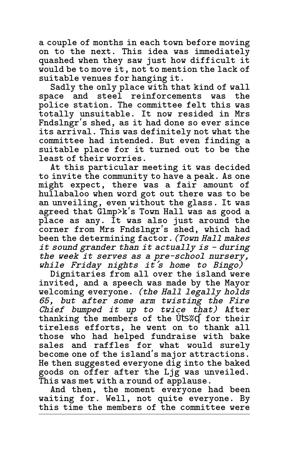a couple of months in each town before moving on to the next. This idea was immediately quashed when they saw just how difficult it would be to move it, not to mention the lack of suitable venues for hanging it.

Sadly the only place with that kind of wall space and steel reinforcements was the police station. The committee felt this was totally unsuitable. It now resided in Mrs Fndslngr's shed, as it had done so ever since its arrival. This was definitely not what the committee had intended. But even finding a suitable place for it turned out to be the least of their worries.

At this particular meeting it was decided to invite the community to have a peak. As one might expect, there was a fair amount of hullabaloo when word got out there was to be an unveiling, even without the glass. It was agreed that Glmp>k's Town Hall was as good a place as any. It was also just around the corner from Mrs Fndslngr's shed, which had been the determining factor. (Town Hall makes it sound grander than it actually is  $-$  during the week it serves as a pre-school nursery, while Friday nights it's home to Bingo)

Dignitaries from all over the island were invited, and a speech was made by the Mayor welcoming everyone. (the Hall legally holds 65, but after some arm twisting the Fire Chief bumped it up to twice that) After thanking the members of the UtSWQ for their tireless efforts, he went on to thank all those who had helped fundraise with bake sales and raffles for what would surely become one of the island's major attractions. He then suggested everyone dig into the baked goods on offer after the Ljg was unveiled. This was met with a round of applause.

And then, the moment everyone had been waiting for. Well, not quite everyone. By this time the members of the committee were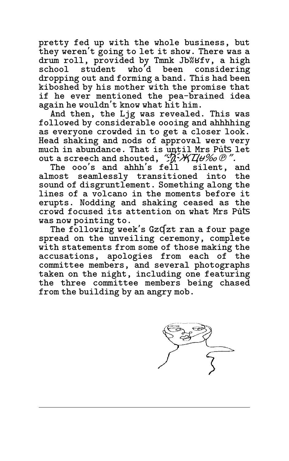pretty fed up with the whole business, but they weren't going to let it show. There was a drum roll, provided by Tmnk Jb WKfv, a high<br>school student who'd been considering who'd been considering dropping out and forming a band. This had been kiboshed by his mother with the promise that if he ever mentioned the pea-brained idea again he wouldn't know what hit him.

And then, the Ljg was revealed. This was followed by considerable oooing and ahhhhing as everyone crowded in to get a closer look. Head shaking and nods of approval were very much in abundance. That is until Mrs Puts let out a screech and shouted, "*λ<sup>ζ</sup> . <del>X</del> Π ω <sup>δ</sup> . <sup>2</sup>΄</del> . <sup>2</sup> . <sup>2</sup><sup></sup> . <sup>2</sup> . <sup>2</sup> . <sup>2</sup>* 

The ooo's and ahhh's fell silent, and almost seamlessly transitioned into the sound of disgruntlement. Something along the lines of a volcano in the moments before it erupts. Nodding and shaking ceased as the crowd focused its attention on what Mrs Puts was now pointing to.

The following week's  $GzGzt$  ran a four page spread on the unveiling ceremony, complete with statements from some of those making the accusations, apologies from each of the committee members, and several photographs taken on the night, including one featuring the three committee members being chased from the building by an angry mob.

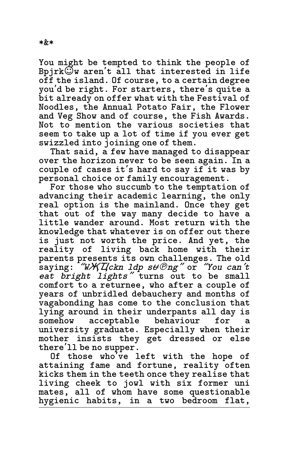You might be tempted to think the people of Bpjrk $\mathbb{C}$ w aren't all that interested in life off the island. Of course, to a certain degree you'd be right. For starters, there's quite a bit already on offer what with the Festival of Noodles, the Annual Potato Fair, the Flower and Veg Show and of course, the Fish Awards. Not to mention the various societies that seem to take up a lot of time if you ever get swizzled into joining one of them.

That said, a few have managed to disappear over the horizon never to be seen again. In a couple of cases it's hard to say if it was by personal choice or family encouragement.

For those who succumb to the temptation of advancing their academic learning, the only real option is the mainland. Once they get that out of the way many decide to have a little wander around. Most return with the knowledge that whatever is on offer out there is just not worth the price. And yet, the reality of living back home with their parents presents its own challenges. The old<br>saying: "WXXICkn ldp st@ng" or "You can't *"W. XXI* ckn ldp s +  $\mathcal{P}$ ng" or "You can't eat bright lights" turns out to be small comfort to a returnee, who after a couple of years of unbridled debauchery and months of vagabonding has come to the conclusion that lying around in their underpants all day is somehow acceptable behaviour for a university graduate. Especially when their mother insists they get dressed or else there'll be no supper.

Of those who've left with the hope of attaining fame and fortune, reality often kicks them in the teeth once they realise that living cheek to jowl with six former uni mates, all of whom have some questionable hygienic habits, in a two bedroom flat,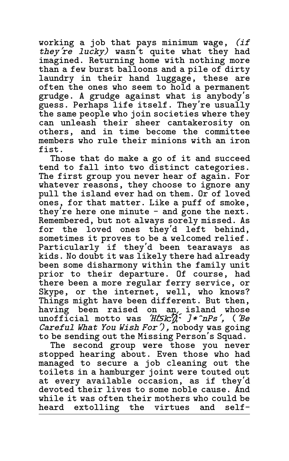working a job that pays minimum wage, *(if* they're lucky) wasn't quite what they had imagined. Returning home with nothing more than a few burst balloons and a pile of dirty laundry in their hand luggage, these are often the ones who seem to hold a permanent grudge. A grudge against what is anybody's guess. Perhaps life itself. They're usually the same people who join societies where they can unleash their sheer cantakerosity on others, and in time become the committee members who rule their minions with an iron fist.

Those that do make a go of it and succeed tend to fall into two distinct categories. The first group you never hear of again. For whatever reasons, they choose to ignore any pull the island ever had on them. Or of loved ones, for that matter. Like a puff of smoke, they're here one minute - and gone the next. Remembered, but not always sorely missed. As for the loved ones they'd left behind, sometimes it proves to be a welcomed relief. Particularly if they'd been tearaways as kids. No doubt it was likely there had already been some disharmony within the family unit prior to their departure. Of course, had there been a more regular ferry service, or Skype, or the internet, well, who knows? Things might have been different. But then, having been raised on an, island whose<br>unofficial motto was *Htsk?, I\*^nPs',* (*Be* Careful What You Wish For'), nobody was going to be sending out the Missing Person's Squad.

The second group were those you never stopped hearing about. Even those who had managed to secure a job cleaning out the toilets in a hamburger joint were touted out at every available occasion, as if they'd devoted their lives to some noble cause. And while it was often their mothers who could be heard extolling the virtues and self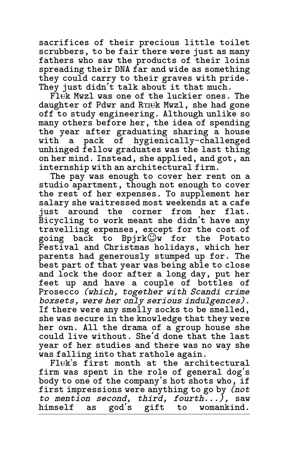sacrifices of their precious little toilet scrubbers, to be fair there were just as many fathers who saw the products of their loins spreading their DNA far and wide as something they could carry to their graves with pride. They just didn't talk about it that much.

 $F1$ <sup> $#$ </sup>k Mwzl was one of the luckier ones. The daughter of Pdwr and R tuk Mwzl, she had gone off to study engineering. Although unlike so many others before her, the idea of spending the year after graduating sharing a house with a pack of hygienically-challenged unhinged fellow graduates was the last thing on her mind. Instead, she applied, and got, an internship with an architectural firm.

The pay was enough to cover her rent on a studio apartment, though not enough to cover the rest of her expenses. To supplement her salary she waitressed most weekends at a cafe just around the corner from her flat. Bicycling to work meant she didn't have any travelling expenses, except for the cost of going back to Bpjrk $\mathbb{G}_W$  for the Potato Festival and Christmas holidays, which her parents had generously stumped up for. The best part of that year was being able to close and lock the door after a long day, put her feet up and have a couple of bottles of Prosecco (which, together with Scandi crime boxsets, were her only serious indulgences). If there were any smelly socks to be smelled, she was secure in the knowledge that they were her own. All the drama of a group house she could live without. She'd done that the last year of her studies and there was no way she was falling into that rathole again.

Fluk's first month at the architectural firm was spent in the role of general dog's body to one of the company's hot shots who, if first impressions were anything to go by (not to mention second, third, fourth...), saw himself as god's gift to womankind.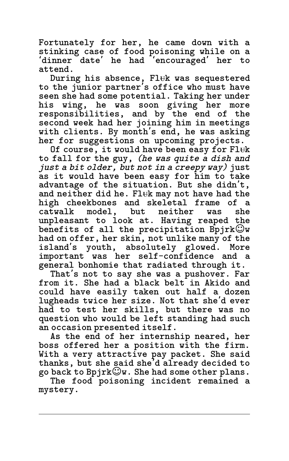Fortunately for her, he came down with a stinking case of food poisoning while on a 'dinner date' he had 'encouraged' her to attend.

During his absence, Fl<sub>Uk</sub> was sequestered to the junior partner's office who must have seen she had some potential. Taking her under his wing, he was soon giving her more responsibilities, and by the end of the second week had her joining him in meetings with clients. By month's end, he was asking her for suggestions on upcoming projects.

Of course, it would have been easy for  $Fl#k$ to fall for the guy, (he was quite a dish and just a bit older, but not in a creepy way) just as it would have been easy for him to take advantage of the situation. But she didn't, and neither did he. Fl $H$ k may not have had the high cheekbones and skeletal frame of a catwalk model, but neither was she unpleasant to look at. Having reaped the benefits of all the precipitation Bpjrk $\mathbb{C}$ w had on offer, her skin, not unlike many of the island's youth, absolutely glowed. More important was her self-confidence and a general bonhomie that radiated through it.

That's not to say she was a pushover. Far from it. She had a black belt in Akido and could have easily taken out half a dozen lugheads twice her size. Not that she'd ever had to test her skills, but there was no question who would be left standing had such an occasion presented itself.

As the end of her internship neared, her boss offered her a position with the firm. With a very attractive pay packet. She said thanks, but she said she'd already decided to go back to  $Bpirk\mathbb{C}$ w. She had some other plans.

The food poisoning incident remained a mystery.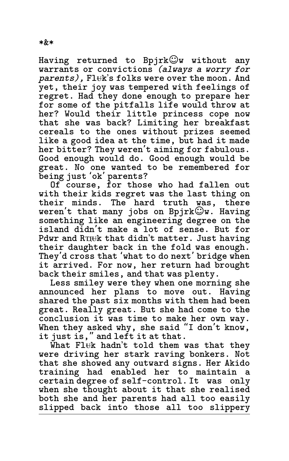Having returned to Bpjrk $\mathbb{C}$ w without any warrants or convictions (always a worry for parents), Fl $\forall$ k's folks were over the moon. And yet, their joy was tempered with feelings of regret. Had they done enough to prepare her for some of the pitfalls life would throw at her? Would their little princess cope now that she was back? Limiting her breakfast cereals to the ones without prizes seemed like a good idea at the time, but had it made her bitter? They weren't aiming for fabulous. Good enough would do. Good enough would be great. No one wanted to be remembered for being just 'ok' parents?

Of course, for those who had fallen out with their kids regret was the last thing on their minds. The hard truth was, there weren't that many jobs on Bpjrk $\mathbb{C}$ w. Having something like an engineering degree on the island didn't make a lot of sense. But for Pdwr and RTH that didn't matter. Just having their daughter back in the fold was enough. They'd cross that 'what to do next' bridge when it arrived. For now, her return had brought back their smiles, and that was plenty.

Less smiley were they when one morning she announced her plans to move out. Having shared the past six months with them had been great. Really great. But she had come to the conclusion it was time to make her own way. When they asked why, she said "I don't know, it just is," and left it at that.

What Fl $H$ k hadn't told them was that they were driving her stark raving bonkers. Not that she showed any outward signs. Her Akido training had enabled her to maintain a certain degree of self-control. It was only when she thought about it that she realised both she and her parents had all too easily slipped back into those all too slippery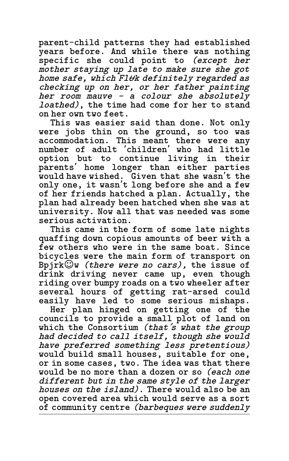parent-child patterns they had established years before. And while there was nothing specific she could point to (except her mother staying up late to make sure she got home safe, which Fl<sup>+</sup>k definitely regarded as checking up on her, or her father painting her room mauve - a colour she absolutely loathed), the time had come for her to stand on her own two feet.

This was easier said than done. Not only were jobs thin on the ground, so too was accommodation. This meant there were any number of adult 'children' who had little option but to continue living in their parents' home longer than either parties would have wished. Given that she wasn't the only one, it wasn't long before she and a few of her friends hatched a plan. Actually, the plan had already been hatched when she was at university. Now all that was needed was some serious activation.

This came in the form of some late nights quaffing down copious amounts of beer with a few others who were in the same boat. Since bicycles were the main form of transport on Bpjrk $\mathbb{G}_W$  (there were no cars), the issue of drink driving never came up, even though riding over bumpy roads on a two wheeler after several hours of getting rat-arsed could easily have led to some serious mishaps.

Her plan hinged on getting one of the councils to provide a small plot of land on which the Consortium (that's what the group had decided to call itself, though she would have preferred something less pretentious) would build small houses, suitable for one, or in some cases, two. The idea was that there would be no more than a dozen or so (each one different but in the same style of the larger houses on the island). There would also be an open covered area which would serve as a sort of community centre (barbeques were suddenly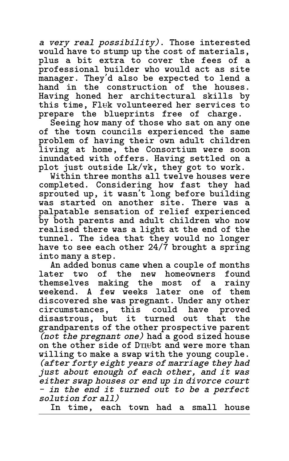a very real possibility). Those interested would have to stump up the cost of materials, plus a bit extra to cover the fees of a professional builder who would act as site manager. They'd also be expected to lend a hand in the construction of the houses. Having honed her architectural skills by this time, Fl $\#$ k volunteered her services to prepare the blueprints free of charge.

Seeing how many of those who sat on any one of the town councils experienced the same problem of having their own adult children living at home, the Consortium were soon inundated with offers. Having settled on a plot just outside Lk/vk, they got to work.

Within three months all twelve houses were completed. Considering how fast they had sprouted up, it wasn't long before building was started on another site. There was a palpatable sensation of relief experienced by both parents and adult children who now realised there was a light at the end of the tunnel. The idea that they would no longer have to see each other 24/7 brought a spring into many a step.

An added bonus came when a couple of months later two of the new homeowners found themselves making the most of a rainy weekend. A few weeks later one of them discovered she was pregnant. Under any other circumstances, this could have proved disastrous, but it turned out that the grandparents of the other prospective parent (not the pregnant one) had a good sized house on the other side of D u+bt and were more than willing to make a swap with the young couple. (after forty eight years of marriage they had just about enough of each other, and it was either swap houses or end up in divorce court - in the end it turned out to be a perfect solution for all)

In time, each town had a small house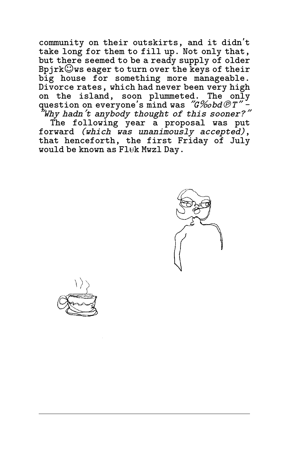community on their outskirts, and it didn't take long for them to fill up. Not only that, but there seemed to be a ready supply of older Bpjrk $\mathbb G$ ws eager to turn over the keys of their big house for something more manageable. Divorce rates, which had never been very high on the island, soon plummeted. The only question on everyone's mind was  $\sqrt[G]{\mathscr{C}}\mathscr{A}obd\mathscr{D}T^{''}$ -

Why hadn't anybody thought of this sooner?"  $\,$ The following year a proposal was put forward (which was unanimously accepted), that henceforth, the first Friday of July would be known as Fluk Mwzl Day.



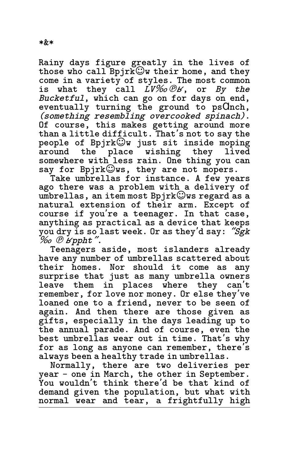Rainy days figure greatly in the lives of those who call  $BpirK\mathbb{C}$  w their home, and they come in a variety of styles. The most common is what they call  $\tilde{L}V\%$  **OB**, or By the Bucketful, which can go on for days on end, eventually turning the ground to  $psOnch$ , (something resembling overcooked spinach). Of course, this makes getting around more than a little difficult. That's not to say the people of Bpjrk $\mathbb{G}_W$  just sit inside moping around the place wishing they lived somewhere with less rain. One thing you can say for  $Bpirk\mathbb{C}$ ws, they are not mopers.

Take umbrellas for instance. A few years ago there was a problem with a delivery of umbrellas, an item most Bpjrk $\mathbb {C}$ ws regard as a natural extension of their arm. Except of course if you're a teenager. In that case, anything as practical as a device that keeps you dry is so last week. Or as they'd say: " $Sgk$ <br>%  $\emptyset$  b bypht".

Teenagers aside, most islanders already have any number of umbrellas scattered about their homes. Nor should it come as any surprise that just as many umbrella owners leave them in places where they can't remember, for love nor money. Or else they've loaned one to a friend, never to be seen of again. And then there are those given as gifts, especially in the days leading up to the annual parade. And of course, even the best umbrellas wear out in time. That's why for as long as anyone can remember, there's always been a healthy trade in umbrellas.

Normally, there are two deliveries per year - one in March, the other in September. You wouldn't think there'd be that kind of demand given the population, but what with normal wear and tear, a frightfully high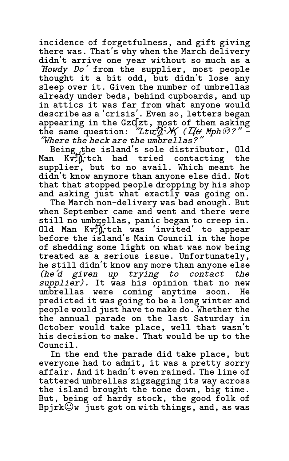incidence of forgetfulness, and gift giving there was. That's why when the March delivery didn't arrive one year without so much as a 'Howdy Do' from the supplier, most people thought it a bit odd, but didn't lose any sleep over it. Given the number of umbrellas already under beds, behind cupboards, and up in attics it was far from what anyone would describe as a 'crisis'. Even so, letters began appearing in the  $GzGzt$ , most of them asking the same question:  $"$ Ltu $''$ X ( $I$ + Mph  $\mathcal{P}$ ?" - $\emph{``Where the check are the umbrellas?''}$ 

Being the island's sole distributor, Old<br>Man  $Kv^{\eta}_{\mathcal{M}}$  tch had tried contacting the Kv n'tch had tried contacting the supplier, but to no avail. Which meant he didn't know anymore than anyone else did. Not that that stopped people dropping by his shop and asking just what exactly was going on.

The March non-delivery was bad enough. But when September came and went and there were still no umbrellas, panic began to creep in. Old Man Kv nitch was 'invited' to appear before the island's Main Council in the hope of shedding some light on what was now being treated as a serious issue. Unfortunately, he still didn't know any more than anyone else (he'd given up trying to contact the  $supplier$ ). It was his opinion that no new umbrellas were coming anytime soon. He predicted it was going to be a long winter and people would just have to make do. Whether the the annual parade on the last Saturday in October would take place, well that wasn't his decision to make. That would be up to the Council.

In the end the parade did take place, but everyone had to admit, it was a pretty sorry affair. And it hadn't even rained. The line of tattered umbrellas zigzagging its way across the island brought the tone down, big time. But, being of hardy stock, the good folk of Bpjrk $\mathbb{G}_W$  just got on with things, and, as was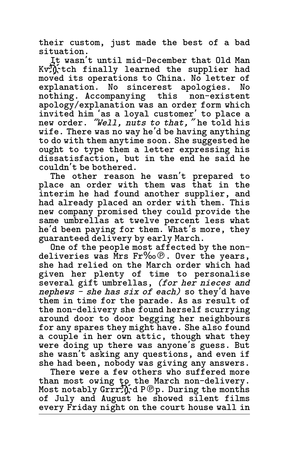their custom, just made the best of a bad situation.

It wasn't until mid-December that Old Man Kv $\tilde{N}$ : tch finally learned the supplier had moved its operations to China. No letter of explanation. No sincerest apologies. No nothing. Accompanying this non-existent apology/explanation was an order form which invited him 'as a loyal customer' to place a new order. "Well, nuts to that, "he told his wife. There was no way he'd be having anything to do with them anytime soon. She suggested he ought to type them a letter expressing his dissatisfaction, but in the end he said he  $\text{couldn}'$ t be bothered.

The other reason he wasn't prepared to place an order with them was that in the interim he had found another supplier, and had already placed an order with them. This new company promised they could provide the same umbrellas at twelve percent less what he'd been paying for them. What's more, they guaranteed delivery by early March.

One of the people most affected by the nondeliveries was Mrs Fr‰®. Over the years, she had relied on the March order which had given her plenty of time to personalise several gift umbrellas, (for her nieces and nephews  $\frac{1}{\pi}$  she has six of each) so they'd have them in time for the parade. As as result of the non-delivery she found herself scurrying around door to door begging her neighbours for any spares they might have. She also found a couple in her own attic, though what they were doing up there was anyone's guess. But she wasn't asking any questions, and even if she had been, nobody was giving any answers.

There were a few others who suffered more than most owing to the March non-delivery. Most notably Grrr $\tilde{M}$  d P $\mathcal{P}$ p. During the months of July and August he showed silent films every Friday night on the court house wall in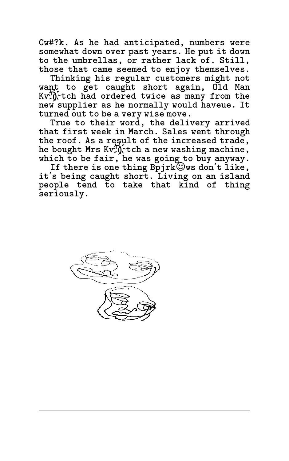Cw#?k. As he had anticipated, numbers were somewhat down over past years. He put it down to the umbrellas, or rather lack of. Still, those that came seemed to enjoy themselves.

Thinking his regular customers might not want to get caught short again, Old Man Kvhitch had ordered twice as many from the new supplier as he normally would haveue. It turned out to be a very wise move.

True to their word, the delivery arrived that first week in March. Sales went through the roof. As a result of the increased trade, he bought Mrs Kv $\vec{m}$  tch a new washing machine, which to be fair, he was going to buy anyway.

If there is one thing  $B$ pjrk $\mathbb {C}$ ws don't like, it's being caught short. Living on an island people tend to take that kind of thing seriously.

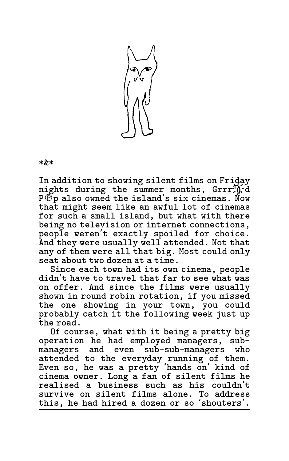

\*&\*

In addition to showing silent films on Friday nights during the summer months, Grrrn, d  $P \overline{P}$  p also owned the island's six cinemas. Now that might seem like an awful lot of cinemas for such a small island, but what with there being no television or internet connections, people weren't exactly spoiled for choice. And they were usually well attended. Not that any of them were all that big. Most could only seat about two dozen at a time.

Since each town had its own cinema, people didn't have to travel that far to see what was on offer. And since the films were usually shown in round robin rotation, if you missed the one showing in your town, you could probably catch it the following week just up the road.

Of course, what with it being a pretty big operation he had employed managers, submanagers and even sub-sub-managers who attended to the everyday running of them. Even so, he was a pretty 'hands on' kind of cinema owner. Long a fan of silent films he realised a business such as his couldn't survive on silent films alone. To address this, he had hired a dozen or so 'shouters'.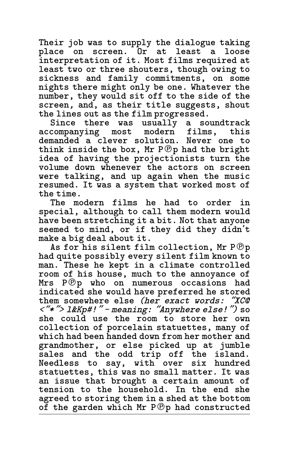Their job was to supply the dialogue taking<br>place on screen. Or at least a loose place on screen. Or at least a interpretation of it. Most films required at least two or three shouters, though owing to sickness and family commitments, on some nights there might only be one. Whatever the number, they would sit off to the side of the screen, and, as their title suggests, shout the lines out as the film progressed.

Since there was usually a soundtrack accompanying most modern films, this demanded a clever solution. Never one to think inside the box, Mr  $P \mathcal{D} p$  had the bright idea of having the projectionists turn the volume down whenever the actors on screen were talking, and up again when the music resumed. It was a system that worked most of the time.

The modern films he had to order in special, although to call them modern would have been stretching it a bit. Not that anyone seemed to mind, or if they did they didn't make a big deal about it.

As for his silent film collection, Mr P @p had quite possibly every silent film known to man. These he kept in a climate controlled room of his house, much to the annoyance of  $Mrs$   $P^{\textcircled{p}}$  who on numerous occasions had indicated she would have preferred he stored them somewhere else (her exact words: "XCC <"\*">l&Kp#!"-meaning: "Anywhere else!") so she could use the room to store her own collection of porcelain statuettes, many of which had been handed down from her mother and grandmother, or else picked up at jumble sales and the odd trip off the island. Needless to say, with over six hundred statuettes, this was no small matter. It was an issue that brought a certain amount of tension to the household. In the end she agreed to storing them in a shed at the bottom of the garden which Mr  $P \circledP p$  had constructed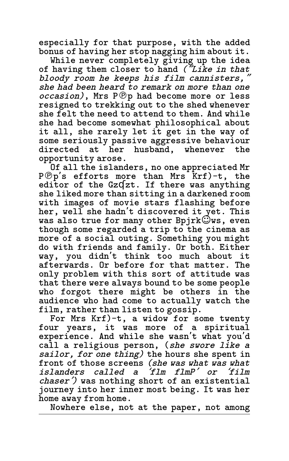especially for that purpose, with the added bonus of having her stop nagging him about it.

While never completely giving up the idea of having them closer to hand ( $\tilde{L}$ ike in that bloody room he keeps his film cannisters, she had been heard to remark on more than one occasion), Mrs P ®p had become more or less resigned to trekking out to the shed whenever she felt the need to attend to them. And while she had become somewhat philosophical about it all, she rarely let it get in the way of some seriously passive aggressive behaviour<br>directed at her husband. whenever the her husband, whenever the opportunity arose.

Of all the islanders, no one appreciated Mr  $P \mathcal{D} p$ 's efforts more than Mrs  $Krf$ )-t, the editor of the Gz $Q$ zt. If there was anything she liked more than sitting in a darkened room with images of movie stars flashing before her, well she hadn't discovered it yet. This was also true for many other Bpjrk $\mathbb{G}$ ws, even though some regarded a trip to the cinema as more of a social outing. Something you might do with friends and family. Or both. Either way, you didn't think too much about afterwards. Or before for that matter. The only problem with this sort of attitude was that there were always bound to be some people who forgot there might be others in the audience who had come to actually watch the film, rather than listen to gossip.

For Mrs Krf)-t, a widow for some twenty four years, it was more of a spiritual experience. And while she wasn't what you'd call a religious person, (she swore like a sailor, for one thing) the hours she spent in front of those screens (she was what was what<br>islanders called a 'flm flmP' or 'film islanders called a  $\emph{chaser}'$ ) was nothing short of an existential journey into her inner most being. It was her home away from home.

Nowhere else, not at the paper, not among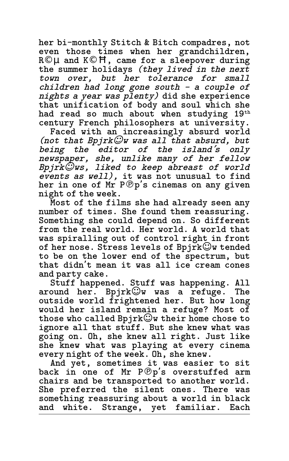her bi-monthly Stitch & Bitch compadres, not even those times when her grandchildren,  $R$ © $\mu$  and  $K$ © $\overline{H}$ , came for a sleepover during the summer holidays (they lived in the next town over, but her tolerance for small children had long gone south - a couple of ni*ghts a year was plenty)* did she experience that unification of body and soul which she had read so much about when studying 19th century French philosophers at university.

Faced with an increasingly absurd world (not that Bpjrk $\mathbb{C}$ w was all that absurd, but being the editor of the island's only newspaper, she, unlike many of her fellow  $B$ pjrk $\mathbb {C}$ ws, liked to keep abreast of world events as well), it was not unusual to find her in one of Mr  $P \mathcal{D} p$ 's cinemas on any given night of the week.

Most of the films she had already seen any number of times. She found them reassuring. Something she could depend on. So different from the real world. Her world. A world that was spiralling out of control right in front of her nose. Stress levels of Bpjrk $\mathbb{G}_W$  tended to be on the lower end of the spectrum, but that didn't mean it was all ice cream cones and party cake.

Stuff happened. Stuff was happening. All around her. Bpjrk $\mathbb{C}$ w was a refuge. The outside world frightened her. But how long would her island remain a refuge? Most of those who called  $\mathtt{Bpjrk}\mathbb{C}$ w their home chose to ignore all that stuff. But she knew what was going on. Oh, she knew all right. Just like she knew what was playing at every cinema every night of the week. Oh, she knew.

And yet, sometimes it was easier to sit back in one of Mr  $P \mathcal{D} p$ 's overstuffed arm chairs and be transported to another world. She preferred the silent ones. There was something reassuring about a world in black and white. Strange, yet familiar. Each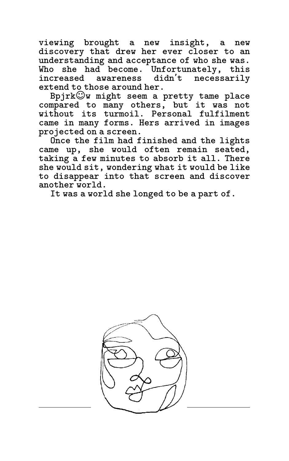viewing brought a new insight, a new discovery that drew her ever closer to an understanding and acceptance of who she was. Who she had become. Unfortunately, this<br>increased awareness didn't necessarily didn't necessarily extend to those around her.

Bpjrk $\mathbb{G}_W$  might seem a pretty tame place compared to many others, but it was not without its turmoil. Personal fulfilment came in many forms. Hers arrived in images projected on a screen.

Once the film had finished and the lights came up, she would often remain seated, taking a few minutes to absorb it all. There she would sit, wondering what it would be like to disappear into that screen and discover another world.

It was a world she longed to be a part of.

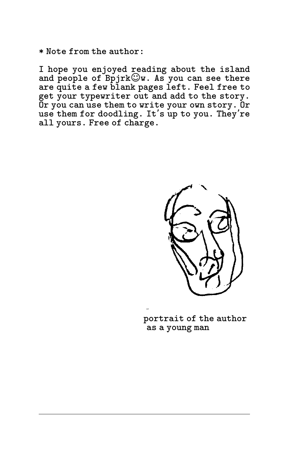\* Note from the author:

I hope you enjoyed reading about the island and people of  $B$ pjrk $\mathbb{C}$ w. As you can see there are quite a few blank pages left. Feel free to get your typewriter out and add to the story. Or you can use them to write your own story. Or use them for doodling. It's up to you. They're all yours. Free of charge.



portrait of the author as a young man